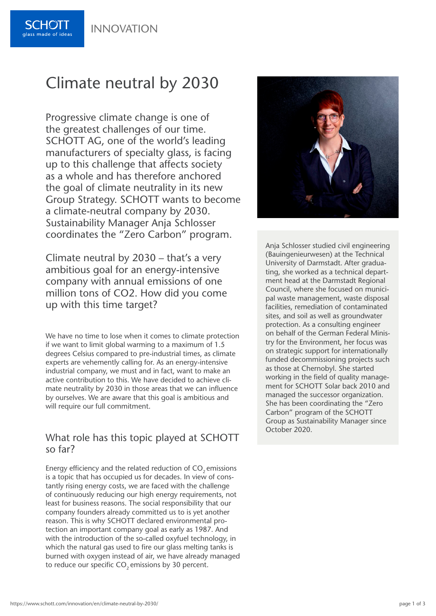INNOVATION



# Climate neutral by 2030

Progressive climate change is one of the greatest challenges of our time. SCHOTT AG, one of the world's leading manufacturers of specialty glass, is facing up to this challenge that affects society as a whole and has therefore anchored the goal of climate neutrality in its new Group Strategy. SCHOTT wants to become a climate-neutral company by 2030. Sustainability Manager Anja Schlosser coordinates the "Zero Carbon" program.

Climate neutral by 2030 – that's a very ambitious goal for an energy-intensive company with annual emissions of one million tons of CO2. How did you come up with this time target?

We have no time to lose when it comes to climate protection if we want to limit global warming to a maximum of 1.5 degrees Celsius compared to pre-industrial times, as climate experts are vehemently calling for. As an energy-intensive industrial company, we must and in fact, want to make an active contribution to this. We have decided to achieve climate neutrality by 2030 in those areas that we can influence by ourselves. We are aware that this goal is ambitious and will require our full commitment.

#### What role has this topic played at SCHOTT so far?

Energy efficiency and the related reduction of CO<sub>2</sub> emissions is a topic that has occupied us for decades. In view of constantly rising energy costs, we are faced with the challenge of continuously reducing our high energy requirements, not least for business reasons. The social responsibility that our company founders already committed us to is yet another reason. This is why SCHOTT declared environmental protection an important company goal as early as 1987. And with the introduction of the so-called oxyfuel technology, in which the natural gas used to fire our glass melting tanks is burned with oxygen instead of air, we have already managed to reduce our specific CO<sub>2</sub> emissions by 30 percent.



Anja Schlosser studied civil engineering (Bauingenieurwesen) at the Technical University of Darmstadt. After graduating, she worked as a technical department head at the Darmstadt Regional Council, where she focused on municipal waste management, waste disposal facilities, remediation of contaminated sites, and soil as well as groundwater protection. As a consulting engineer on behalf of the German Federal Ministry for the Environment, her focus was on strategic support for internationally funded decommissioning projects such as those at Chernobyl. She started working in the field of quality management for SCHOTT Solar back 2010 and managed the successor organization. She has been coordinating the "Zero Carbon" program of the SCHOTT Group as Sustainability Manager since October 2020.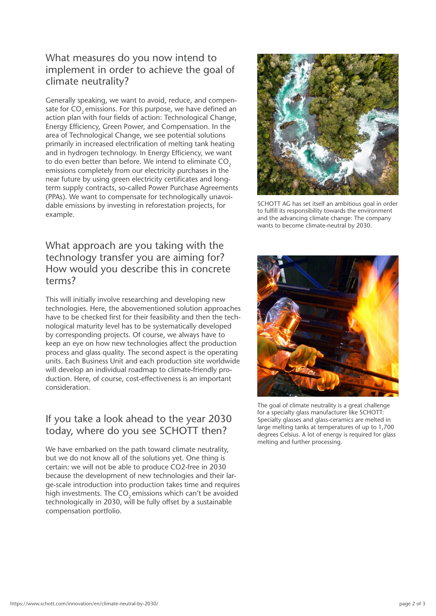### What measures do you now intend to implement in order to achieve the goal of climate neutrality?

Generally speaking, we want to avoid, reduce, and compensate for CO<sub>2</sub> emissions. For this purpose, we have defined an action plan with four fields of action: Technological Change, Energy Efficiency, Green Power, and Compensation. In the area of Technological Change, we see potential solutions primarily in increased electrification of melting tank heating and in hydrogen technology. In Energy Efficiency, we want to do even better than before. We intend to eliminate CO<sub>2</sub> emissions completely from our electricity purchases in the near future by using green electricity certificates and longterm supply contracts, so-called Power Purchase Agreements (PPAs). We want to compensate for technologically unavoidable emissions by investing in reforestation projects, for example.

#### What approach are you taking with the technology transfer you are aiming for? How would you describe this in concrete terms?

This will initially involve researching and developing new technologies. Here, the abovementioned solution approaches have to be checked first for their feasibility and then the technological maturity level has to be systematically developed by corresponding projects. Of course, we always have to keep an eye on how new technologies affect the production process and glass quality. The second aspect is the operating units. Each Business Unit and each production site worldwide will develop an individual roadmap to climate-friendly production. Here, of course, cost-effectiveness is an important consideration.

## If you take a look ahead to the year 2030 today, where do you see SCHOTT then?

We have embarked on the path toward climate neutrality, but we do not know all of the solutions yet. One thing is certain: we will not be able to produce CO2-free in 2030 because the development of new technologies and their large-scale introduction into production takes time and requires high investments. The CO<sub>2</sub> emissions which can't be avoided technologically in 2030, will be fully offset by a sustainable compensation portfolio.



SCHOTT AG has set itself an ambitious goal in order to fulfill its responsibility towards the environment and the advancing climate change: The company wants to become climate-neutral by 2030.



The goal of climate neutrality is a great challenge for a specialty glass manufacturer like SCHOTT: Specialty glasses and glass-ceramics are melted in large melting tanks at temperatures of up to 1,700 degrees Celsius. A lot of energy is required for glass melting and further processing.